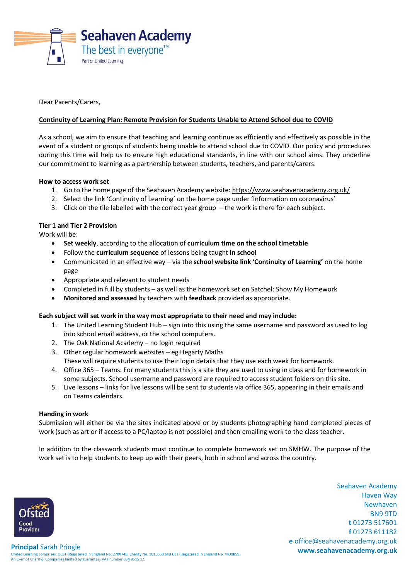

Dear Parents/Carers,

# **Continuity of Learning Plan: Remote Provision for Students Unable to Attend School due to COVID**

As a school, we aim to ensure that teaching and learning continue as efficiently and effectively as possible in the event of a student or groups of students being unable to attend school due to COVID. Our policy and procedures during this time will help us to ensure high educational standards, in line with our school aims. They underline our commitment to learning as a partnership between students, teachers, and parents/carers.

## **How to access work set**

- 1. Go to the home page of the Seahaven Academy website:<https://www.seahavenacademy.org.uk/>
- 2. Select the link 'Continuity of Learning' on the home page under 'Information on coronavirus'
- 3. Click on the tile labelled with the correct year group the work is there for each subject.

## **Tier 1 and Tier 2 Provision**

Work will be:

- **Set weekly**, according to the allocation of **curriculum time on the school timetable**
- Follow the **curriculum sequence** of lessons being taught **in school**
- Communicated in an effective way via the **school website link 'Continuity of Learning'** on the home page
- Appropriate and relevant to student needs
- Completed in full by students as well as the homework set on Satchel: Show My Homework
- **Monitored and assessed** by teachers with **feedback** provided as appropriate.

### **Each subject will set work in the way most appropriate to their need and may include:**

- 1. The United Learning Student Hub sign into this using the same username and password as used to log into school email address, or the school computers.
- 2. The Oak National Academy no login required
- 3. Other regular homework websites eg Hegarty Maths These will require students to use their login details that they use each week for homework.
- 4. Office 365 Teams. For many students this is a site they are used to using in class and for homework in some subjects. School username and password are required to access student folders on this site.
- 5. Live lessons links for live lessons will be sent to students via office 365, appearing in their emails and on Teams calendars.

### **Handing in work**

Submission will either be via the sites indicated above or by students photographing hand completed pieces of work (such as art or if access to a PC/laptop is not possible) and then emailing work to the class teacher.

In addition to the classwork students must continue to complete homework set on SMHW. The purpose of the work set is to help students to keep up with their peers, both in school and across the country.

> Seahaven Academy Haven Way Newhaven BN9 9TD **t** 01273 517601 **f** 01273 611182 **e** office@seahavenacademy.org.uk